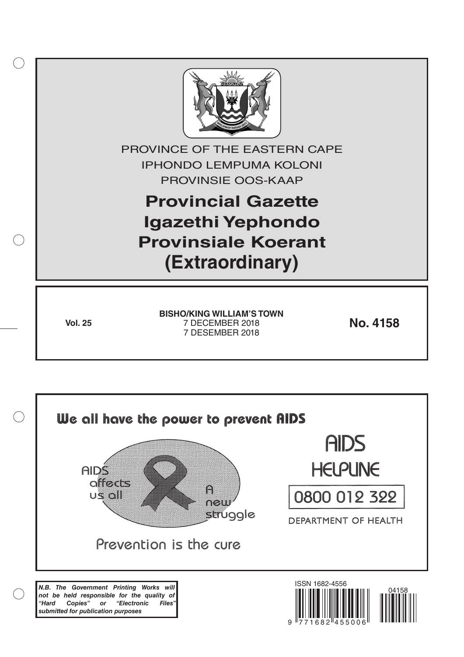

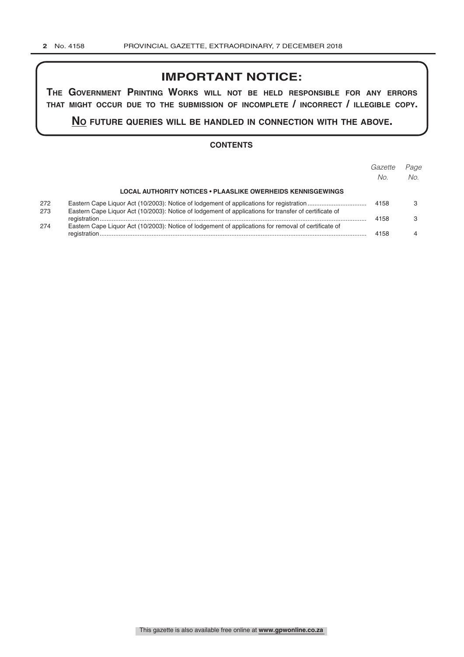# **IMPORTANT NOTICE:**

**The GovernmenT PrinTinG Works Will noT be held resPonsible for any errors ThaT miGhT occur due To The submission of incomPleTe / incorrecT / illeGible coPy.**

**no fuTure queries Will be handled in connecTion WiTh The above.**

# **CONTENTS**

|            |                                                                                                       | Gazette<br>No | Paae<br>No. |
|------------|-------------------------------------------------------------------------------------------------------|---------------|-------------|
|            | <b>LOCAL AUTHORITY NOTICES • PLAASLIKE OWERHEIDS KENNISGEWINGS</b>                                    |               |             |
| 272<br>273 | Eastern Cape Liquor Act (10/2003): Notice of lodgement of applications for transfer of certificate of | 4158          |             |
|            |                                                                                                       | 4158          |             |
| 274        | Eastern Cape Liquor Act (10/2003): Notice of lodgement of applications for removal of certificate of  | 4158          |             |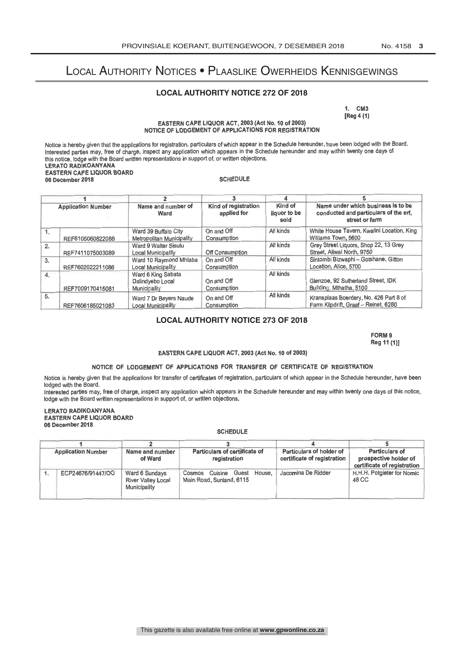# Local Authority Notices • Plaaslike Owerheids Kennisgewings

## **LOCAL AUTHORITY NOTICE 272 OF 2018**

1. VIII-V<br>1. CM3  $\ln$ ca 4 (1)

EASTERN CAPE LIQUOR ACT, 2003 (Act No. 10 of 2003) NOTICE OF LODGEMENT OF APPLICATIONS FOR REGISTRATION

Notice is hereby given that the applications for registration, particulars of which appear in the Schedule hereunder, have been lodged with the Board. Interested parties may, free of charge, inspect any application which appears in the Schedule hereunder and may within twenty one days of this notice, lodge with the Board written representations in support of, or written objections. LERATO RADIKOANYANA EASTERN CAPE LIQUOR BOARD 06 December 2018 SCHEDULE

| <b>Application Number</b> |                  |                                                          |                                     |                                 |                                                                                               |  |
|---------------------------|------------------|----------------------------------------------------------|-------------------------------------|---------------------------------|-----------------------------------------------------------------------------------------------|--|
|                           |                  | Name and number of<br>Ward                               | Kind of registration<br>applied for | Kind of<br>liquor to be<br>sold | Name under which business is to be<br>conducted and particulars of the erf,<br>street or farm |  |
| $\mathbf{1}$ .            | REF6105060822088 | Ward 39 Buffalo City<br><b>Metropolitan Municipality</b> | On and Off<br>Consumption           | All kinds                       | White House Tavern, Kwalini Location, King<br>Williams Town, 5600                             |  |
| 2.                        | REF7411075003089 | Ward 9 Walter Sisulu<br><b>Local Municipality</b>        | Off Consumption                     | All kinds                       | Grey Street Liguors, Shop 22, 13 Grey<br>Street, Aliwal North, 9750                           |  |
| 3.                        | REF7602022211086 | Ward 10 Raymond Mhlaba<br><b>Local Municipality</b>      | On and Off<br>Consumption           | All kinds                       | Sintombi Bizwaphi - Gotshane, Gitton<br>Location, Alice, 5700                                 |  |
| 4.                        | REF7009170415081 | Ward 6 King Sabata<br>Dalindyebo Local<br>Municipality   | On and Off<br>Consumption           | All kinds                       | Glenzoe, 92 Sutherland Street, IDK<br>Building, Mthatha, 5100                                 |  |
| 5.                        | REF7606185021083 | Ward 7 Dr Beyers Naude<br><b>Local Municipality</b>      | On and Off<br>Consumption           | All kinds                       | Kransplaas Boerdery, No. 426 Part 8 of<br>Farm Klipdrift, Graaf - Reinet, 6280                |  |

# **LOCAL AUTHORITY NOTICE 273 OF 2018**

Form 9<br>Best 44.4411 Reg 11(1)]

EASTERN CAPE LIQUOR ACT, 2003 (Act No. 10 of 2003)

### NOTICE OF LODGEMENT OF APPLICATIONS FOR TRANSFER OF CERTIFICATE OF REGISTRATION

Notice is hereby given that the applications for transfer of certificates of registration, particulars of which appear in the Schedule hereunder, have been lodged with the Board.

Interested parties may, free of charge, inspect any application which appears in the Schedule hereunder and may within twenty one days of this notice, lodge with the Board written representations in support of, or written objections.

LERATO RADIKOANYANA EASTERN CAPE LIQUOR BOARD 06 December 2018

### SCHEDULE

|                           | Particulars of certificate of<br>Name and number<br>of Ward<br>registration |                                                                  |                                                         | <b>Particulars of</b><br>prospective holder of<br>certificate of registration |  |
|---------------------------|-----------------------------------------------------------------------------|------------------------------------------------------------------|---------------------------------------------------------|-------------------------------------------------------------------------------|--|
| <b>Application Number</b> |                                                                             |                                                                  | Particulars of holder of<br>certificate of registration |                                                                               |  |
| ECP24676/91447/OO         | Ward 6 Sundays<br><b>River Valley Local</b><br>Municipality                 | Cuisine<br>House,<br>Guest<br>Cosmos<br>Main Road, Sunland, 6115 | Jacomina De Ridder                                      | H.H.H. Potgieter for Nomic<br>48 CC                                           |  |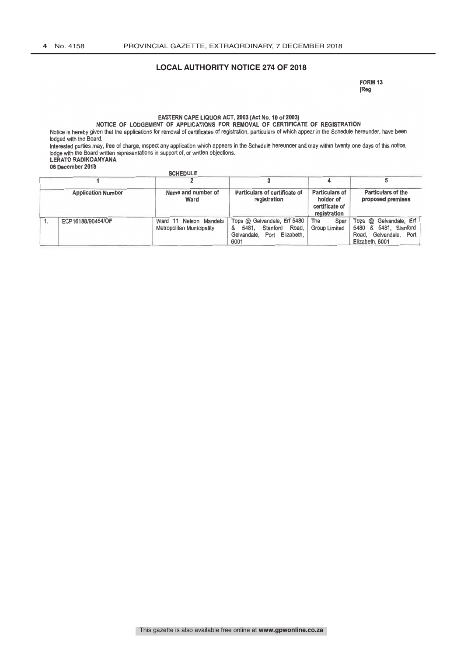## **LOCAL AUTHORITY NOTICE 274 OF 2018**

FORM 13  $\mathbf{F}$ 

#### EASTERN CAPE LIQUOR ACT, 2003 (Act No. 10 of 2003)

NOTICE OF LODGEMENT OF APPLICATIONS FOR REMOVAL OF CERTIFICATE OF REGISTRATION

Notice is hereby given that the applications for removal of certificates of registration, particulars of which appear in the Schedule hereunder, have been lodged with the Board. lodged with the Board.

Interested parties may, free of charge, inspect any application which appears in the Schedule hereunder and may within twenty one days of this notice, lodge with the Board written representations in support of, or written objections.

LERATO RADIKOANYANA 06 December 2018

| <b>Application Number</b> |                   |                                                               |                                                                                                       |                                                                      | <b>Particulars of the</b><br>proposed premises                                               |  |
|---------------------------|-------------------|---------------------------------------------------------------|-------------------------------------------------------------------------------------------------------|----------------------------------------------------------------------|----------------------------------------------------------------------------------------------|--|
|                           |                   | Name and number of<br>Ward                                    | Particulars of certificate of<br>registration                                                         | <b>Particulars of</b><br>holder of<br>certificate of<br>registration |                                                                                              |  |
|                           | ECP16188/90454/OF | Nelson Mandela<br>Ward 11<br><b>Metropolitan Municipality</b> | Tops @ Gelvandale, Erf 5480<br>Road,<br>Stanford<br>&<br>5481.<br>Gelvandale, Port Elizabeth,<br>6001 | The<br>Spar<br><b>Group Limited</b>                                  | Tops @ Gelvandale, Erf<br>5480 & 5481, Stanford<br>Road, Gelvandale, Port<br>Elizabeth, 6001 |  |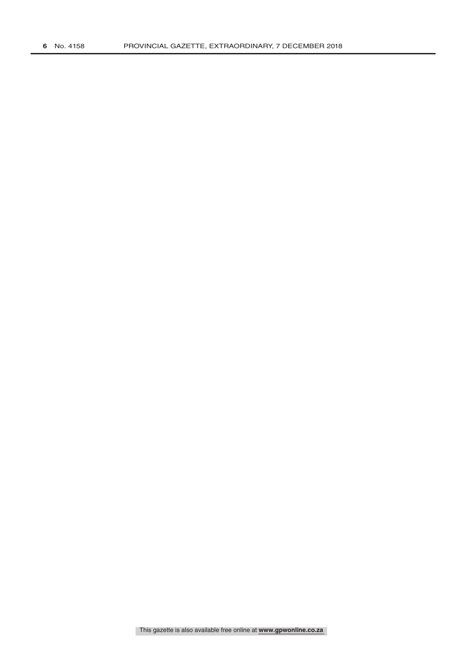This gazette is also available free online at **www.gpwonline.co.za**